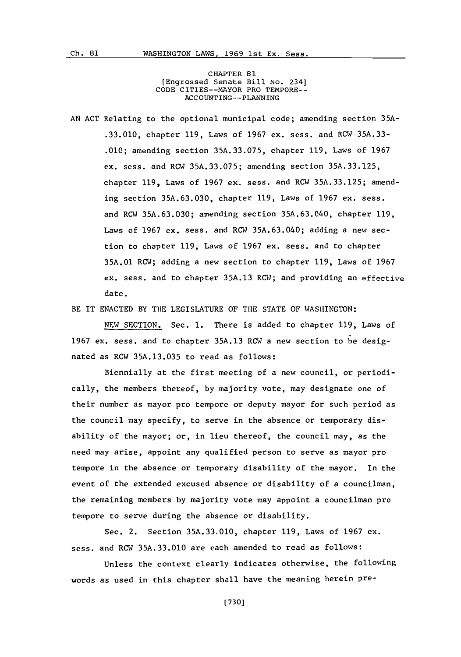CHAPTER **81** [Engrossed Senate Bill No. 234] **CODE** CITIES--MAYOR PRO TEMPORE-- **ACC OtNTING--PLANNING**

**AN ACT** Relating to the optional municipal code; amending section **35A- .33.010,** chapter **119,** Laws of **1967** ex. sess. and RCW **35A.33- .010;** amending section **35A.33.075,** chapter **119,** Laws of **1967** ex. sess. and RCW **35A.33.075;** amending section **35A.33.125,** chapter **119,** Laws of **1967** ex. sess. and RCW **35A.33.125;** amending section **35A.63.03'0,** chapter **119,** Laws of **1967** ex. sess. and RCW **35A.63.030;** amending section **35A.63.040,** chapter **119,** Laws of **1967** ex. sess. and RCW **35A.63.040;** adding a new section to chapter **119,** Laws of **1967** ex. sess. and to chapter **35A.01** RCW; adding a new section to chapter **119,** Laws of **1967** ex. sess. and to chapter **35A.13** RCW; and providing an effective date.

BE IT **ENACTED** BY THE LEGISLATURE OF THE **STATE** OF WASHINGTON:

**NEW** SECTION. Sec. **1.** There is added to chapter **119,** Laws of **1967** ex. sess. and to chapter **35A.13** RCW a new section to be designated as RCW **35A.13.035** to read as follows:

Biennially at the first meeting of a new council, or periodically, the members thereof, **by** majority vote, may designate one of their number as mayor pro tempore or deputy mayor for such period as the council may specify, to serve in the absence or temporary disability of the mayor; or, in lieu thereof, the council may, as the need may arise, appoint any qualified person to serve as mayor pro tempore in the absence or temporary disability of the mayor. In the event of the extended excused absence or disability of a councilman, the remaining members **by** majority vote may appoint a councilman pro tempore to serve during the absence or disability.

Sec. 2. Section **35A.33.010,** chapter **119,** Laws of **1967** ex. sess. and RCW **35A.33.010** are each amended to read as follows:

Unless the context clearly indicates otherwise, the following words as used in this chapter shall have the meaning herein pre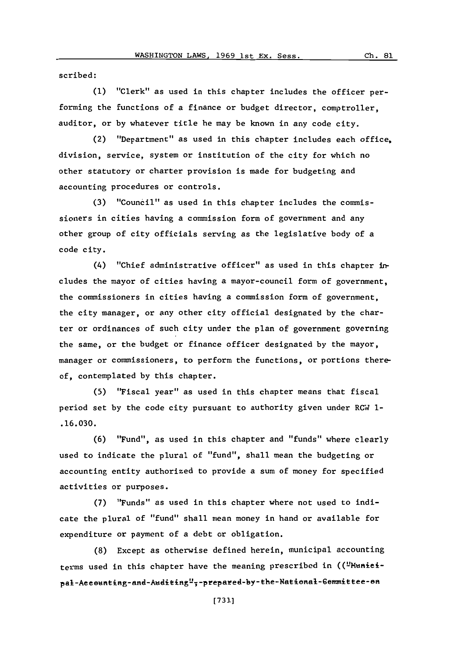scribed:

**(1)** "Clerk" as used in this chapter includes the officer performing the functions of a finance or budget director, comptroller, auditor, or **by** whatever title he may be known in any code city.

(2) "Department" as used in this chapter includes each office, division, service, system or institution of the city for which no other statutory or charter provision is made for budgeting and accounting procedures or controls.

**(3)** "Council" as used in this chapter includes the commissioners in cities having a commission form of government and any other group of city officials serving as the legislative body of a code city.

(4) "Chief administrative officer" as used in this chapter in-. cludes the mayor of cities having a mayor-council form of government, the commissioners in cities having a commission form of government, the city manager, or any other city official designated **by** the charter or ordinances of such city under the plan of government governing the same, or the budget or finance officer designated **by** the mayor, manager or commissioners, to perform the functions, or portions thereof, contemplated **by** this chapter.

**(5)** "Fiscal year" as used in this chapter means that fiscal period set **by** the code city pursuant to authority given under RCW **1- .16.030.**

**(6)** "Fund", as used in this chapter and "funds" where clearly used to indicate the plural of "fund", shall mean the budgeting or accounting entity authorized to provide a sum of money for specified activities or purposes.

**(7)** "Funds" as used in this chapter where not used to indicate the plural of "fund" shall mean money in hand or available for expenditure or payment of a debt or obligation.

**(8)** Except as otherwise defined herein, municipal accounting terms used in this chapter have the meaning prescribed in (("Munieipal-Aeeounting-and-Auditing";-prepared-by-the-National-Gommittee-on

**01**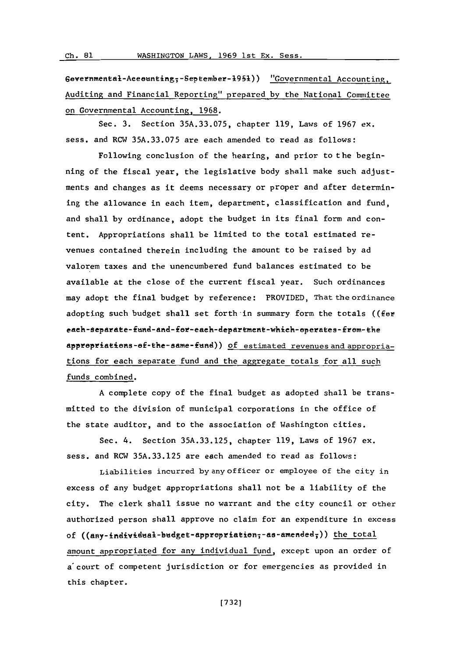Ch. 81

 $Gevernmental-Aeeeunting<sub>7</sub>-September-1951)$  "Governmental Accounting, Auditing and Financial Reporting" prepared **by** the National Conmmittee on Governmental Accounting, **1968.**

Sec. **3.** Section **35A.33.075,** chapter **119,** Laws of **1967** ex. sess. and RCW **35A.33.075** are each amended to read as follows:

Following conclusion of the hearing, and prior to the beginning of the fiscal year, the legislative body shall make such adjustments and changes as it deems necessary or proper and after determining the allowance in each item, department, classification and fund, and shall **by** ordinance, adopt the budget in its final form and content. Appropriations shall be limited to the total estimated revenues contained therein including the amount to be raised **by** ad valorem taxes and the unencumbered fund balances estimated to be available at the close of the current fiscal year. Such ordinances may adopt the final budget **by** reference: PROVIDED, That the ordinance adopting such budget shall set forth in summary form the totals ((fer each-separate-fund-and-for-each-department-which-operates-from-the appropriations-of-the-same-fund)) of estimated revenues and appropriations for each separate fund and the aggregate totals for all such funds combined.

**A** complete copy of the final budget as adopted shall be transmitted to the division of municipal corporations in the office of the state auditor, and to the association of Washington cities.

Sec. 4. Section **35A.33.125,** chapter **119,** Laws of **1967** ex. sess. and RCW **35A.33.125** are each amended to read as follows:

Liabilities incurred **by** any of ficer or employee of the city in excess of any budget appropriations shall not be a liability of the city. The clerk shall issue no warrant and the city council or other authorized person shall approve no claim for an expenditure in excess of ((any-individual-budget-apprepriation; -as-amended;)) the total amount appropriated for any individual fund, except upon an order of a court of competent jurisdiction or for emergencies as provided in this chapter.